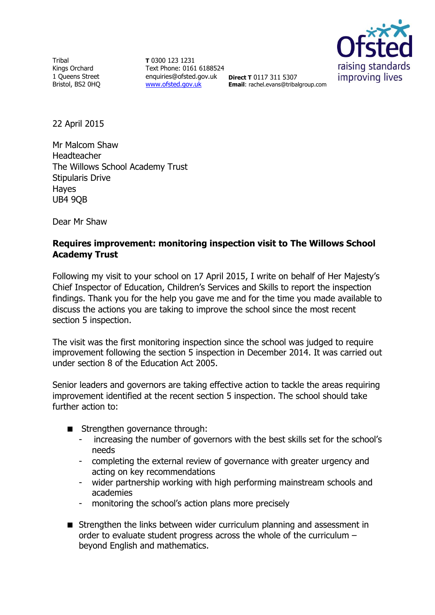**Tribal** Kings Orchard 1 Queens Street Bristol, BS2 0HQ

**T** 0300 123 1231 Text Phone: 0161 6188524 enquiries@ofsted.gov.uk **Direct T** 0117 311 5307 [www.ofsted.gov.uk](http://www.ofsted.gov.uk/)



**Email**: rachel.evans@tribalgroup.com

22 April 2015

Mr Malcom Shaw Headteacher The Willows School Academy Trust Stipularis Drive Hayes UB4 9QB

Dear Mr Shaw

# **Requires improvement: monitoring inspection visit to The Willows School Academy Trust**

Following my visit to your school on 17 April 2015, I write on behalf of Her Majesty's Chief Inspector of Education, Children's Services and Skills to report the inspection findings. Thank you for the help you gave me and for the time you made available to discuss the actions you are taking to improve the school since the most recent section 5 inspection.

The visit was the first monitoring inspection since the school was judged to require improvement following the section 5 inspection in December 2014. It was carried out under section 8 of the Education Act 2005.

Senior leaders and governors are taking effective action to tackle the areas requiring improvement identified at the recent section 5 inspection. The school should take further action to:

- Strengthen governance through:
	- increasing the number of governors with the best skills set for the school's needs
	- completing the external review of governance with greater urgency and acting on key recommendations
	- wider partnership working with high performing mainstream schools and academies
	- monitoring the school's action plans more precisely
- Strengthen the links between wider curriculum planning and assessment in order to evaluate student progress across the whole of the curriculum – beyond English and mathematics.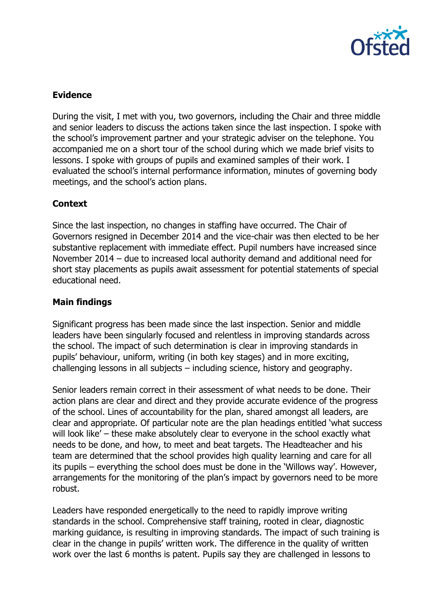

# **Evidence**

During the visit, I met with you, two governors, including the Chair and three middle and senior leaders to discuss the actions taken since the last inspection. I spoke with the school's improvement partner and your strategic adviser on the telephone. You accompanied me on a short tour of the school during which we made brief visits to lessons. I spoke with groups of pupils and examined samples of their work. I evaluated the school's internal performance information, minutes of governing body meetings, and the school's action plans.

## **Context**

Since the last inspection, no changes in staffing have occurred. The Chair of Governors resigned in December 2014 and the vice-chair was then elected to be her substantive replacement with immediate effect. Pupil numbers have increased since November 2014 – due to increased local authority demand and additional need for short stay placements as pupils await assessment for potential statements of special educational need.

## **Main findings**

Significant progress has been made since the last inspection. Senior and middle leaders have been singularly focused and relentless in improving standards across the school. The impact of such determination is clear in improving standards in pupils' behaviour, uniform, writing (in both key stages) and in more exciting, challenging lessons in all subjects – including science, history and geography.

Senior leaders remain correct in their assessment of what needs to be done. Their action plans are clear and direct and they provide accurate evidence of the progress of the school. Lines of accountability for the plan, shared amongst all leaders, are clear and appropriate. Of particular note are the plan headings entitled 'what success will look like' – these make absolutely clear to everyone in the school exactly what needs to be done, and how, to meet and beat targets. The Headteacher and his team are determined that the school provides high quality learning and care for all its pupils – everything the school does must be done in the 'Willows way'. However, arrangements for the monitoring of the plan's impact by governors need to be more robust.

Leaders have responded energetically to the need to rapidly improve writing standards in the school. Comprehensive staff training, rooted in clear, diagnostic marking guidance, is resulting in improving standards. The impact of such training is clear in the change in pupils' written work. The difference in the quality of written work over the last 6 months is patent. Pupils say they are challenged in lessons to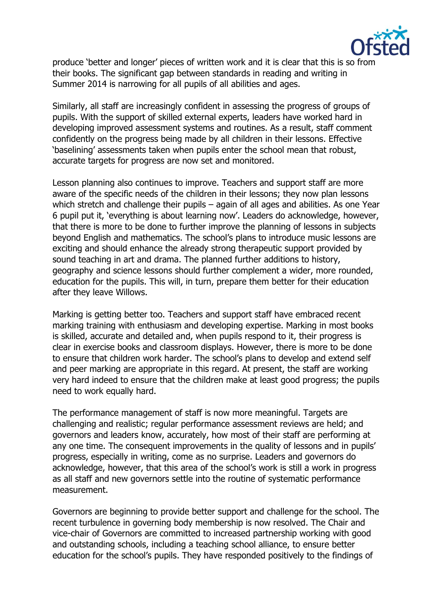

produce 'better and longer' pieces of written work and it is clear that this is so from their books. The significant gap between standards in reading and writing in Summer 2014 is narrowing for all pupils of all abilities and ages.

Similarly, all staff are increasingly confident in assessing the progress of groups of pupils. With the support of skilled external experts, leaders have worked hard in developing improved assessment systems and routines. As a result, staff comment confidently on the progress being made by all children in their lessons. Effective 'baselining' assessments taken when pupils enter the school mean that robust, accurate targets for progress are now set and monitored.

Lesson planning also continues to improve. Teachers and support staff are more aware of the specific needs of the children in their lessons; they now plan lessons which stretch and challenge their pupils – again of all ages and abilities. As one Year 6 pupil put it, 'everything is about learning now'. Leaders do acknowledge, however, that there is more to be done to further improve the planning of lessons in subjects beyond English and mathematics. The school's plans to introduce music lessons are exciting and should enhance the already strong therapeutic support provided by sound teaching in art and drama. The planned further additions to history, geography and science lessons should further complement a wider, more rounded, education for the pupils. This will, in turn, prepare them better for their education after they leave Willows.

Marking is getting better too. Teachers and support staff have embraced recent marking training with enthusiasm and developing expertise. Marking in most books is skilled, accurate and detailed and, when pupils respond to it, their progress is clear in exercise books and classroom displays. However, there is more to be done to ensure that children work harder. The school's plans to develop and extend self and peer marking are appropriate in this regard. At present, the staff are working very hard indeed to ensure that the children make at least good progress; the pupils need to work equally hard.

The performance management of staff is now more meaningful. Targets are challenging and realistic; regular performance assessment reviews are held; and governors and leaders know, accurately, how most of their staff are performing at any one time. The consequent improvements in the quality of lessons and in pupils' progress, especially in writing, come as no surprise. Leaders and governors do acknowledge, however, that this area of the school's work is still a work in progress as all staff and new governors settle into the routine of systematic performance measurement.

Governors are beginning to provide better support and challenge for the school. The recent turbulence in governing body membership is now resolved. The Chair and vice-chair of Governors are committed to increased partnership working with good and outstanding schools, including a teaching school alliance, to ensure better education for the school's pupils. They have responded positively to the findings of